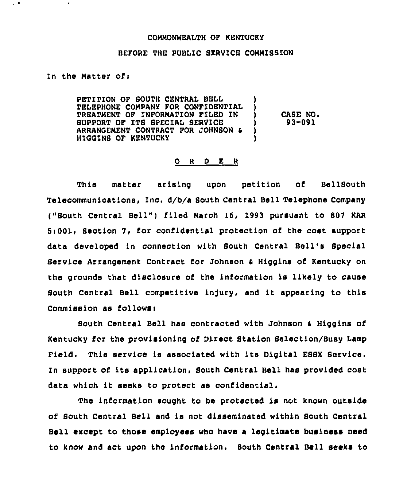## COMMONWEALTH OF KENTUCKY

## BEFORE THE PUBLIC SERVICE CONNISSION

## In the Natter ofi

 $\bullet$  '

 $\overline{\phantom{a}}$ 

PETITION OF SOUTH CENTRAL BELL TELEPHONE CONPANY FOR CONFIDENTIAL TREATMENT OF INFORNATION FILED IN ) SUPPORT OP ITS SPECIAL SERVICE ARRANOEMENT CONTRACT FOR JOHNSON HIQOINS OP KENTUCKY CASE NO. 93-091

## 0 <sup>R</sup> <sup>D</sup> E <sup>R</sup>

This matter arising upon petition of BellSouth Telecommunications, Inc. d/b/a South Central Bell Telephone Company ("South Central Bell") filed March 16, 1993 pursuant to 807 KAR 5>001, Section 7, for confidential protection of the cost support data developed in connection with South Central Bell's Special Service Arrangement Contract for Johnson <sup>S</sup> Higgins of Kentucky on the grounds that disclosure of the information is likely to cause South Central Bell competitive injury, and it appearing to this Commission as follows<

South Central Bell has contracted with Johnson & Higgins of Kentucky fcr the provisioning of Direct Station Selection/Busy Lamp Field. This service is associated with its Digital ESSX Service. In support of its application, South Central Bell has provided cost data which it seeks to protect as confidential.

The information sought to be protected is not known outside of South Central Bell and is not disseminated within South Central Bell except to those employees who have a legitimate business need to know and act upon the information. South Central Bell seeks to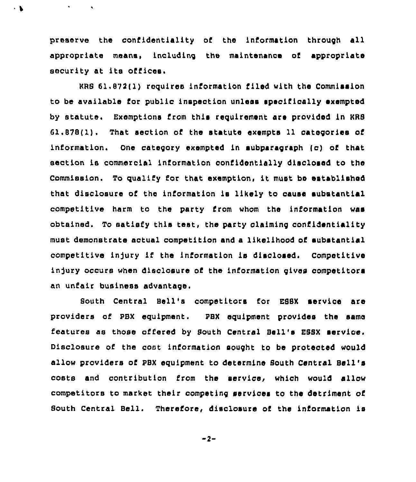preserve the confidentiality of the information through all appropriate means, including the maintenance of appropriate security at its offices.

 $\bullet$ 

 $\cdot$  .

KRS 61,872(1) requires information filed with the Commission to be available for public inspection unless specifically exempted by statute. Exemptions from this requirement are provided in KRS 61.878(1). That section of the statute exempts 11 categories of information. One category exempted in subparagraph (c) of that section is commercial information confidentially disclosed to the Commission. To qualify for that exemption, it must be established that disclosure of the information is likely to cause substantial competitive harm to the party from whom the information was obtained. To satisfy this test, the party claiming confidentiality must demonstrate actual competition and a likelihood of substantial competitive injury if the information is disclosed. Competitive injury occurs when disclosure of the information gives competitors an unfair business advantage.

South Central Bell's competitors for ESSX service are providers of PBX equipment. PBX equipment provides the same features as those offered by South Central Bell's ESSX service. Disclosure of the cost information sought to be protected would allow providers of PBX equipment to determine South Central Bell's costs and contribution from the service, which would allow competitors to market their competing services to the detriment of South Central Bell. Therefore, disclosure of the information is

 $-2-$